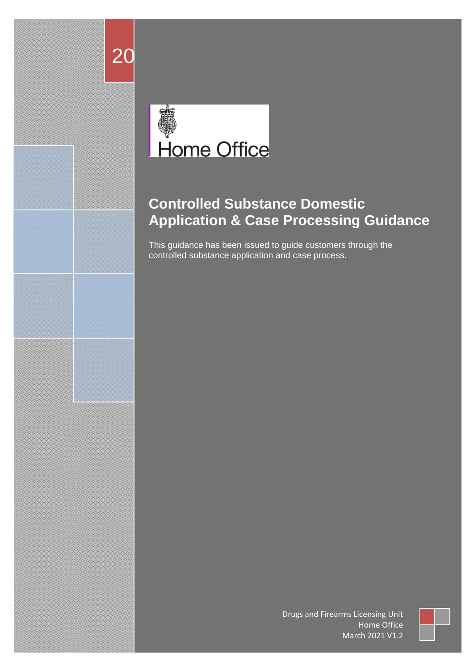

20

# **Controlled Substance Domestic Application & Case Processing Guidance**

This guidance has been issued to guide customers through the controlled substance application and case process.

> Drugs and Firearms Licensing Unit Home Office March 2021 V1.2

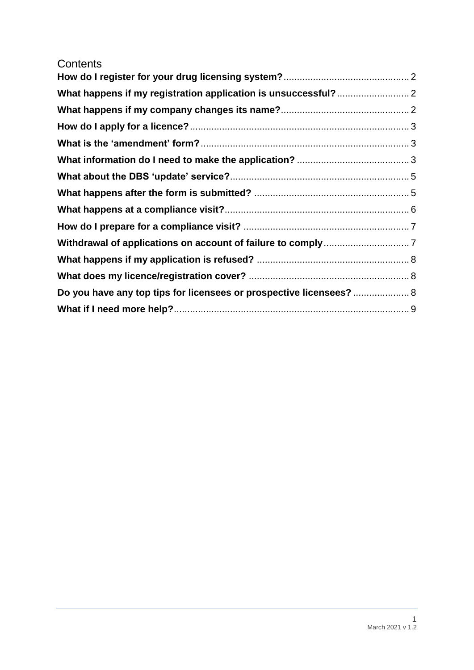### **Contents**

| Do you have any top tips for licensees or prospective licensees?  8 |  |
|---------------------------------------------------------------------|--|
|                                                                     |  |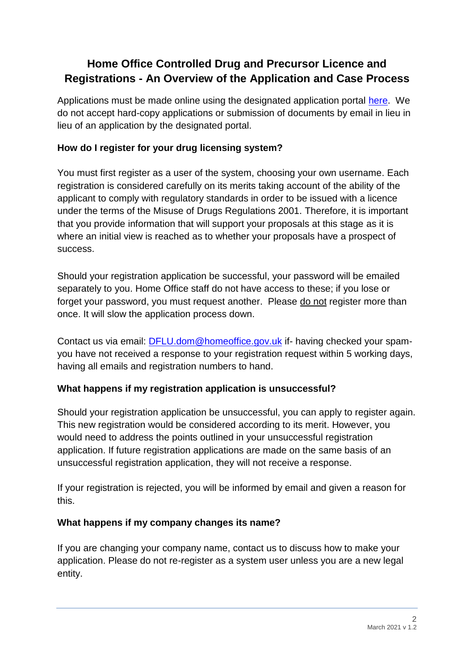## **Home Office Controlled Drug and Precursor Licence and Registrations - An Overview of the Application and Case Process**

Applications must be made online using the designated application portal [here.](https://eforms.homeoffice.gov.uk/outreach/DrugsConsole.ofml?_ga=2.111344388.1691351847.1607333967-857192686.1582634948) We do not accept hard-copy applications or submission of documents by email in lieu in lieu of an application by the designated portal.

### <span id="page-2-0"></span>**How do I register for your drug licensing system?**

You must first register as a user of the system, choosing your own username. Each registration is considered carefully on its merits taking account of the ability of the applicant to comply with regulatory standards in order to be issued with a licence under the terms of the Misuse of Drugs Regulations 2001. Therefore, it is important that you provide information that will support your proposals at this stage as it is where an initial view is reached as to whether your proposals have a prospect of success.

Should your registration application be successful, your password will be emailed separately to you. Home Office staff do not have access to these; if you lose or forget your password, you must request another. Please do not register more than once. It will slow the application process down.

Contact us via email: **DFLU.dom@homeoffice.gov.uk** if- having checked your spamyou have not received a response to your registration request within 5 working days, having all emails and registration numbers to hand.

### <span id="page-2-1"></span>**What happens if my registration application is unsuccessful?**

Should your registration application be unsuccessful, you can apply to register again. This new registration would be considered according to its merit. However, you would need to address the points outlined in your unsuccessful registration application. If future registration applications are made on the same basis of an unsuccessful registration application, they will not receive a response.

If your registration is rejected, you will be informed by email and given a reason for this.

### <span id="page-2-2"></span>**What happens if my company changes its name?**

If you are changing your company name, contact us to discuss how to make your application. Please do not re-register as a system user unless you are a new legal entity.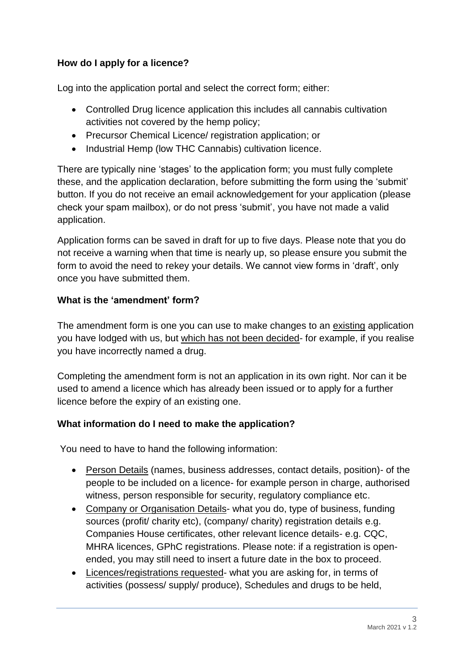### <span id="page-3-0"></span>**How do I apply for a licence?**

Log into the application portal and select the correct form; either:

- Controlled Drug licence application this includes all cannabis cultivation activities not covered by the hemp policy;
- Precursor Chemical Licence/ registration application; or
- Industrial Hemp (low THC Cannabis) cultivation licence.

There are typically nine 'stages' to the application form; you must fully complete these, and the application declaration, before submitting the form using the 'submit' button. If you do not receive an email acknowledgement for your application (please check your spam mailbox), or do not press 'submit', you have not made a valid application.

Application forms can be saved in draft for up to five days. Please note that you do not receive a warning when that time is nearly up, so please ensure you submit the form to avoid the need to rekey your details. We cannot view forms in 'draft', only once you have submitted them.

### <span id="page-3-1"></span>**What is the 'amendment' form?**

The amendment form is one you can use to make changes to an existing application you have lodged with us, but which has not been decided- for example, if you realise you have incorrectly named a drug.

Completing the amendment form is not an application in its own right. Nor can it be used to amend a licence which has already been issued or to apply for a further licence before the expiry of an existing one.

### <span id="page-3-2"></span>**What information do I need to make the application?**

You need to have to hand the following information:

- Person Details (names, business addresses, contact details, position)- of the people to be included on a licence- for example person in charge, authorised witness, person responsible for security, regulatory compliance etc.
- Company or Organisation Details- what you do, type of business, funding sources (profit/ charity etc), (company/ charity) registration details e.g. Companies House certificates, other relevant licence details- e.g. CQC, MHRA licences, GPhC registrations. Please note: if a registration is openended, you may still need to insert a future date in the box to proceed.
- Licences/registrations requested- what you are asking for, in terms of activities (possess/ supply/ produce), Schedules and drugs to be held,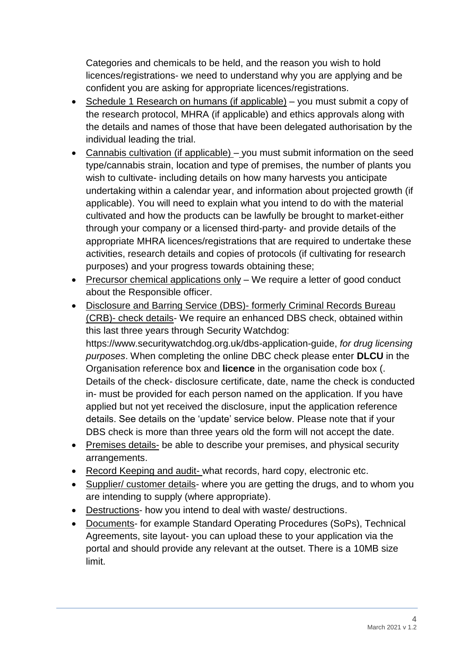Categories and chemicals to be held, and the reason you wish to hold licences/registrations- we need to understand why you are applying and be confident you are asking for appropriate licences/registrations.

- Schedule 1 Research on humans (if applicable) you must submit a copy of the research protocol, MHRA (if applicable) and ethics approvals along with the details and names of those that have been delegated authorisation by the individual leading the trial.
- Cannabis cultivation (if applicable) you must submit information on the seed type/cannabis strain, location and type of premises, the number of plants you wish to cultivate- including details on how many harvests you anticipate undertaking within a calendar year, and information about projected growth (if applicable). You will need to explain what you intend to do with the material cultivated and how the products can be lawfully be brought to market-either through your company or a licensed third-party- and provide details of the appropriate MHRA licences/registrations that are required to undertake these activities, research details and copies of protocols (if cultivating for research purposes) and your progress towards obtaining these;
- Precursor chemical applications only We require a letter of good conduct about the Responsible officer.
- Disclosure and Barring Service (DBS)- formerly Criminal Records Bureau (CRB)- check details- We require an enhanced DBS check, obtained within this last three years through Security Watchdog: https://www.securitywatchdog.org.uk/dbs-application-guide, *for drug licensing purposes*. When completing the online DBC check please enter **DLCU** in the Organisation reference box and **licence** in the organisation code box (. Details of the check- disclosure certificate, date, name the check is conducted in- must be provided for each person named on the application. If you have applied but not yet received the disclosure, input the application reference details. See details on the 'update' service below. Please note that if your DBS check is more than three years old the form will not accept the date.
- Premises details- be able to describe your premises, and physical security arrangements.
- Record Keeping and audit- what records, hard copy, electronic etc.
- Supplier/ customer details- where you are getting the drugs, and to whom you are intending to supply (where appropriate).
- Destructions- how you intend to deal with waste/ destructions.
- Documents- for example Standard Operating Procedures (SoPs), Technical Agreements, site layout- you can upload these to your application via the portal and should provide any relevant at the outset. There is a 10MB size limit.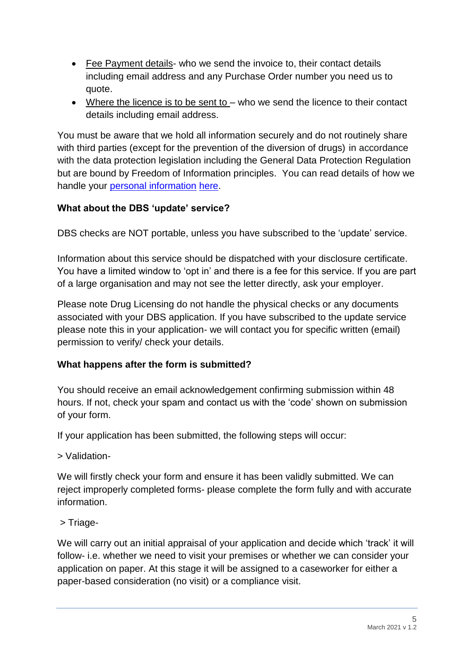- Fee Payment details- who we send the invoice to, their contact details including email address and any Purchase Order number you need us to quote.
- Where the licence is to be sent to who we send the licence to their contact details including email address.

You must be aware that we hold all information securely and do not routinely share with third parties (except for the prevention of the diversion of drugs) in accordance with the data protection legislation including the General Data Protection Regulation but are bound by Freedom of Information principles. You can read details of how we handle your [personal information](https://www.gov.uk/government/publications/drugs-and-firearms-licensing-privacy-information-notices) [here.](https://www.gov.uk/government/publications/drugs-and-firearms-licensing-privacy-information-notices)

### <span id="page-5-0"></span>**What about the DBS 'update' service?**

DBS checks are NOT portable, unless you have subscribed to the 'update' service.

Information about this service should be dispatched with your disclosure certificate. You have a limited window to 'opt in' and there is a fee for this service. If you are part of a large organisation and may not see the letter directly, ask your employer.

Please note Drug Licensing do not handle the physical checks or any documents associated with your DBS application. If you have subscribed to the update service please note this in your application- we will contact you for specific written (email) permission to verify/ check your details.

### <span id="page-5-1"></span>**What happens after the form is submitted?**

You should receive an email acknowledgement confirming submission within 48 hours. If not, check your spam and contact us with the 'code' shown on submission of your form.

If your application has been submitted, the following steps will occur:

> Validation-

We will firstly check your form and ensure it has been validly submitted. We can reject improperly completed forms- please complete the form fully and with accurate information.

> Triage-

We will carry out an initial appraisal of your application and decide which 'track' it will follow- i.e. whether we need to visit your premises or whether we can consider your application on paper. At this stage it will be assigned to a caseworker for either a paper-based consideration (no visit) or a compliance visit.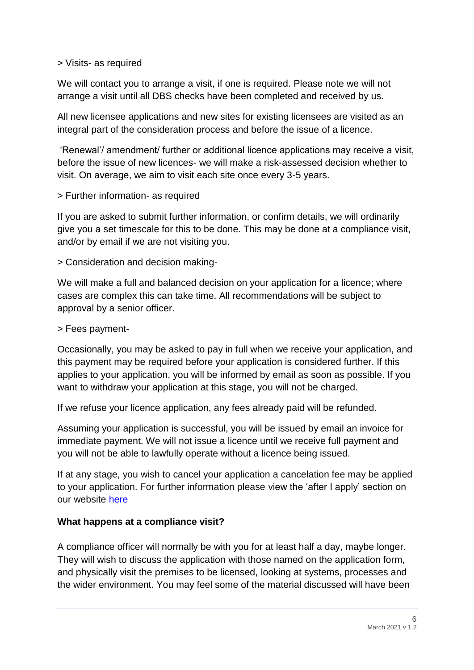#### > Visits- as required

We will contact you to arrange a visit, if one is required. Please note we will not arrange a visit until all DBS checks have been completed and received by us.

All new licensee applications and new sites for existing licensees are visited as an integral part of the consideration process and before the issue of a licence.

'Renewal'/ amendment/ further or additional licence applications may receive a visit, before the issue of new licences- we will make a risk-assessed decision whether to visit. On average, we aim to visit each site once every 3-5 years.

> Further information- as required

If you are asked to submit further information, or confirm details, we will ordinarily give you a set timescale for this to be done. This may be done at a compliance visit, and/or by email if we are not visiting you.

> Consideration and decision making-

We will make a full and balanced decision on your application for a licence; where cases are complex this can take time. All recommendations will be subject to approval by a senior officer.

> Fees payment-

Occasionally, you may be asked to pay in full when we receive your application, and this payment may be required before your application is considered further. If this applies to your application, you will be informed by email as soon as possible. If you want to withdraw your application at this stage, you will not be charged.

If we refuse your licence application, any fees already paid will be refunded.

Assuming your application is successful, you will be issued by email an invoice for immediate payment. We will not issue a licence until we receive full payment and you will not be able to lawfully operate without a licence being issued.

If at any stage, you wish to cancel your application a cancelation fee may be applied to your application. For further information please view the 'after I apply' section on our website [here](https://www.gov.uk/guidance/controlled-drugs-domestic-licences)

### <span id="page-6-0"></span>**What happens at a compliance visit?**

A compliance officer will normally be with you for at least half a day, maybe longer. They will wish to discuss the application with those named on the application form, and physically visit the premises to be licensed, looking at systems, processes and the wider environment. You may feel some of the material discussed will have been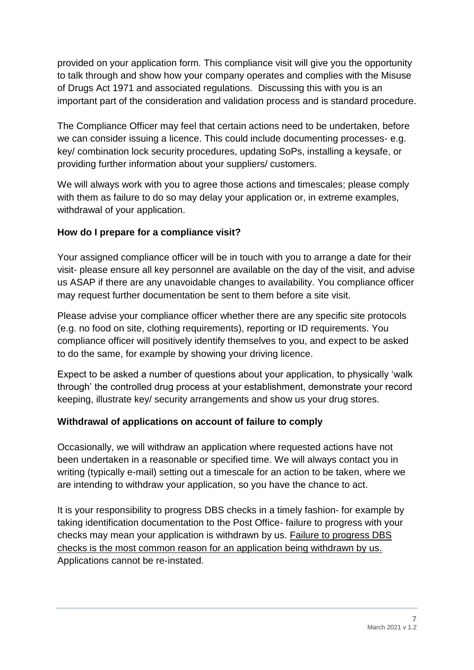provided on your application form. This compliance visit will give you the opportunity to talk through and show how your company operates and complies with the Misuse of Drugs Act 1971 and associated regulations. Discussing this with you is an important part of the consideration and validation process and is standard procedure.

The Compliance Officer may feel that certain actions need to be undertaken, before we can consider issuing a licence. This could include documenting processes- e.g. key/ combination lock security procedures, updating SoPs, installing a keysafe, or providing further information about your suppliers/ customers.

We will always work with you to agree those actions and timescales; please comply with them as failure to do so may delay your application or, in extreme examples, withdrawal of your application.

### <span id="page-7-0"></span>**How do I prepare for a compliance visit?**

Your assigned compliance officer will be in touch with you to arrange a date for their visit- please ensure all key personnel are available on the day of the visit, and advise us ASAP if there are any unavoidable changes to availability. You compliance officer may request further documentation be sent to them before a site visit.

Please advise your compliance officer whether there are any specific site protocols (e.g. no food on site, clothing requirements), reporting or ID requirements. You compliance officer will positively identify themselves to you, and expect to be asked to do the same, for example by showing your driving licence.

Expect to be asked a number of questions about your application, to physically 'walk through' the controlled drug process at your establishment, demonstrate your record keeping, illustrate key/ security arrangements and show us your drug stores.

### <span id="page-7-1"></span>**Withdrawal of applications on account of failure to comply**

Occasionally, we will withdraw an application where requested actions have not been undertaken in a reasonable or specified time. We will always contact you in writing (typically e-mail) setting out a timescale for an action to be taken, where we are intending to withdraw your application, so you have the chance to act.

It is your responsibility to progress DBS checks in a timely fashion- for example by taking identification documentation to the Post Office- failure to progress with your checks may mean your application is withdrawn by us. Failure to progress DBS checks is the most common reason for an application being withdrawn by us. Applications cannot be re-instated.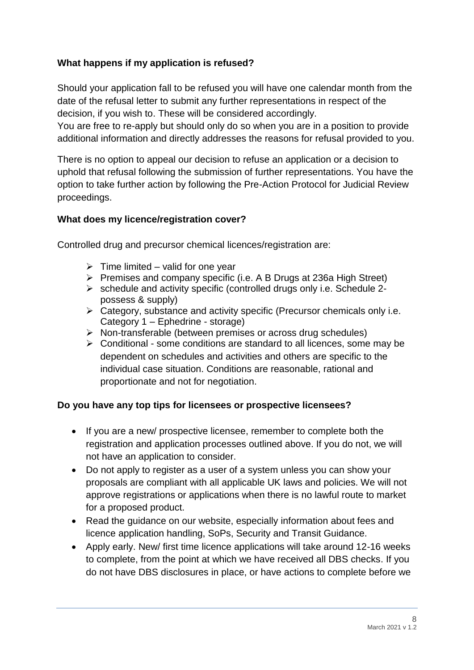### <span id="page-8-0"></span>**What happens if my application is refused?**

Should your application fall to be refused you will have one calendar month from the date of the refusal letter to submit any further representations in respect of the decision, if you wish to. These will be considered accordingly.

You are free to re-apply but should only do so when you are in a position to provide additional information and directly addresses the reasons for refusal provided to you.

There is no option to appeal our decision to refuse an application or a decision to uphold that refusal following the submission of further representations. You have the option to take further action by following the Pre-Action Protocol for Judicial Review proceedings.

### <span id="page-8-1"></span>**What does my licence/registration cover?**

Controlled drug and precursor chemical licences/registration are:

- $\triangleright$  Time limited valid for one year
- ➢ Premises and company specific (i.e. A B Drugs at 236a High Street)
- ➢ schedule and activity specific (controlled drugs only i.e. Schedule 2 possess & supply)
- ➢ Category, substance and activity specific (Precursor chemicals only i.e. Category 1 – Ephedrine - storage)
- ➢ Non-transferable (between premises or across drug schedules)
- ➢ Conditional some conditions are standard to all licences, some may be dependent on schedules and activities and others are specific to the individual case situation. Conditions are reasonable, rational and proportionate and not for negotiation.

### <span id="page-8-2"></span>**Do you have any top tips for licensees or prospective licensees?**

- If you are a new/ prospective licensee, remember to complete both the registration and application processes outlined above. If you do not, we will not have an application to consider.
- Do not apply to register as a user of a system unless you can show your proposals are compliant with all applicable UK laws and policies. We will not approve registrations or applications when there is no lawful route to market for a proposed product.
- Read the guidance on our website, especially information about fees and licence application handling, SoPs, Security and Transit Guidance.
- Apply early. New/ first time licence applications will take around 12-16 weeks to complete, from the point at which we have received all DBS checks. If you do not have DBS disclosures in place, or have actions to complete before we